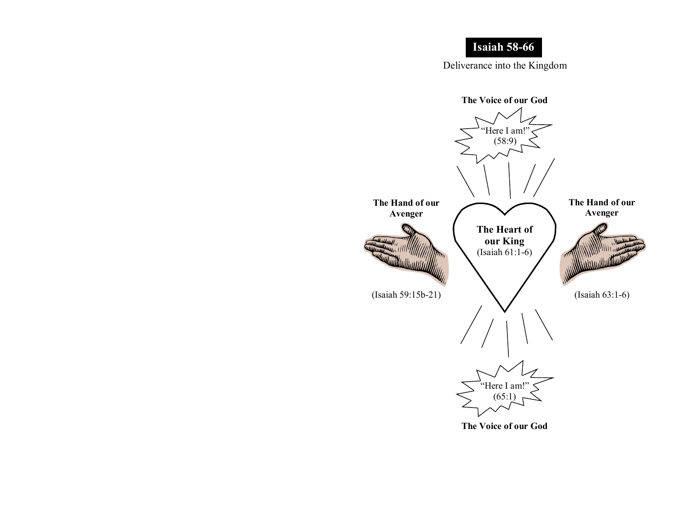## Isaiah 58-66

Deliverance into the Kingdom